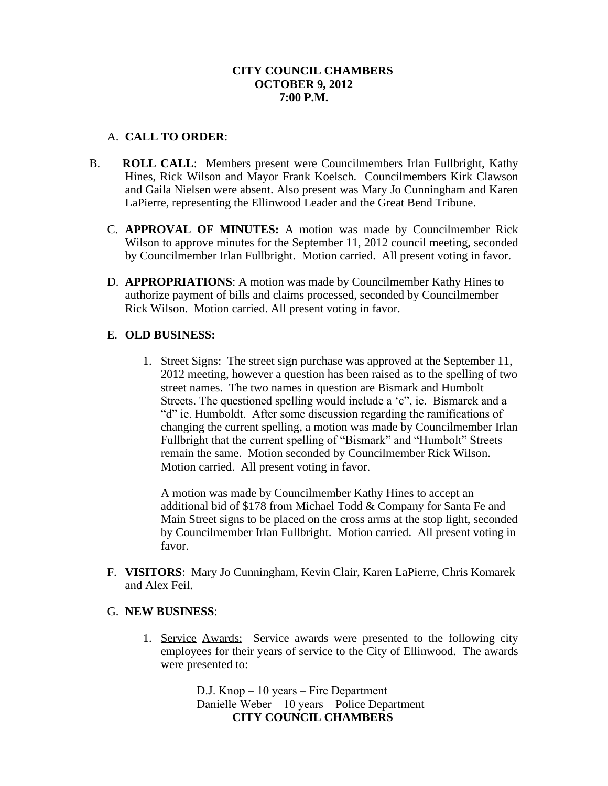## **CITY COUNCIL CHAMBERS OCTOBER 9, 2012 7:00 P.M.**

# A. **CALL TO ORDER**:

- B. **ROLL CALL**: Members present were Councilmembers Irlan Fullbright, Kathy Hines, Rick Wilson and Mayor Frank Koelsch. Councilmembers Kirk Clawson and Gaila Nielsen were absent. Also present was Mary Jo Cunningham and Karen LaPierre, representing the Ellinwood Leader and the Great Bend Tribune.
	- C. **APPROVAL OF MINUTES:** A motion was made by Councilmember Rick Wilson to approve minutes for the September 11, 2012 council meeting, seconded by Councilmember Irlan Fullbright. Motion carried. All present voting in favor.
	- D. **APPROPRIATIONS**: A motion was made by Councilmember Kathy Hines to authorize payment of bills and claims processed, seconded by Councilmember Rick Wilson. Motion carried. All present voting in favor.

### E. **OLD BUSINESS:**

1. Street Signs: The street sign purchase was approved at the September 11, 2012 meeting, however a question has been raised as to the spelling of two street names. The two names in question are Bismark and Humbolt Streets. The questioned spelling would include a 'c", ie. Bismarck and a "d" ie. Humboldt. After some discussion regarding the ramifications of changing the current spelling, a motion was made by Councilmember Irlan Fullbright that the current spelling of "Bismark" and "Humbolt" Streets remain the same. Motion seconded by Councilmember Rick Wilson. Motion carried. All present voting in favor.

A motion was made by Councilmember Kathy Hines to accept an additional bid of \$178 from Michael Todd & Company for Santa Fe and Main Street signs to be placed on the cross arms at the stop light, seconded by Councilmember Irlan Fullbright. Motion carried. All present voting in favor.

F. **VISITORS**: Mary Jo Cunningham, Kevin Clair, Karen LaPierre, Chris Komarek and Alex Feil.

#### G. **NEW BUSINESS**:

1. Service Awards: Service awards were presented to the following city employees for their years of service to the City of Ellinwood. The awards were presented to:

> D.J. Knop – 10 years – Fire Department Danielle Weber – 10 years – Police Department **CITY COUNCIL CHAMBERS**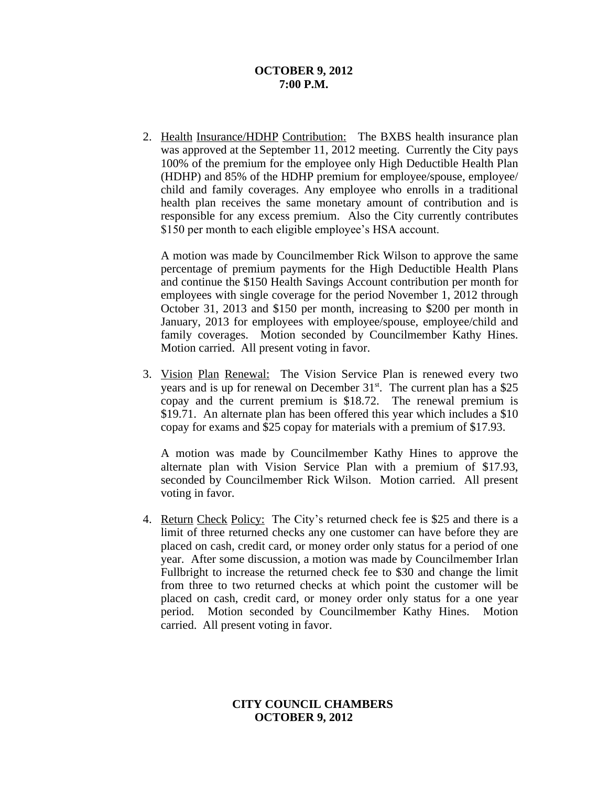#### **OCTOBER 9, 2012 7:00 P.M.**

2. Health Insurance/HDHP Contribution: The BXBS health insurance plan was approved at the September 11, 2012 meeting. Currently the City pays 100% of the premium for the employee only High Deductible Health Plan (HDHP) and 85% of the HDHP premium for employee/spouse, employee/ child and family coverages. Any employee who enrolls in a traditional health plan receives the same monetary amount of contribution and is responsible for any excess premium. Also the City currently contributes \$150 per month to each eligible employee's HSA account.

A motion was made by Councilmember Rick Wilson to approve the same percentage of premium payments for the High Deductible Health Plans and continue the \$150 Health Savings Account contribution per month for employees with single coverage for the period November 1, 2012 through October 31, 2013 and \$150 per month, increasing to \$200 per month in January, 2013 for employees with employee/spouse, employee/child and family coverages. Motion seconded by Councilmember Kathy Hines. Motion carried. All present voting in favor.

3. Vision Plan Renewal: The Vision Service Plan is renewed every two years and is up for renewal on December 31<sup>st</sup>. The current plan has a \$25 copay and the current premium is \$18.72. The renewal premium is \$19.71. An alternate plan has been offered this year which includes a \$10 copay for exams and \$25 copay for materials with a premium of \$17.93.

A motion was made by Councilmember Kathy Hines to approve the alternate plan with Vision Service Plan with a premium of \$17.93, seconded by Councilmember Rick Wilson. Motion carried. All present voting in favor.

4. Return Check Policy: The City's returned check fee is \$25 and there is a limit of three returned checks any one customer can have before they are placed on cash, credit card, or money order only status for a period of one year. After some discussion, a motion was made by Councilmember Irlan Fullbright to increase the returned check fee to \$30 and change the limit from three to two returned checks at which point the customer will be placed on cash, credit card, or money order only status for a one year period. Motion seconded by Councilmember Kathy Hines. Motion carried. All present voting in favor.

### **CITY COUNCIL CHAMBERS OCTOBER 9, 2012**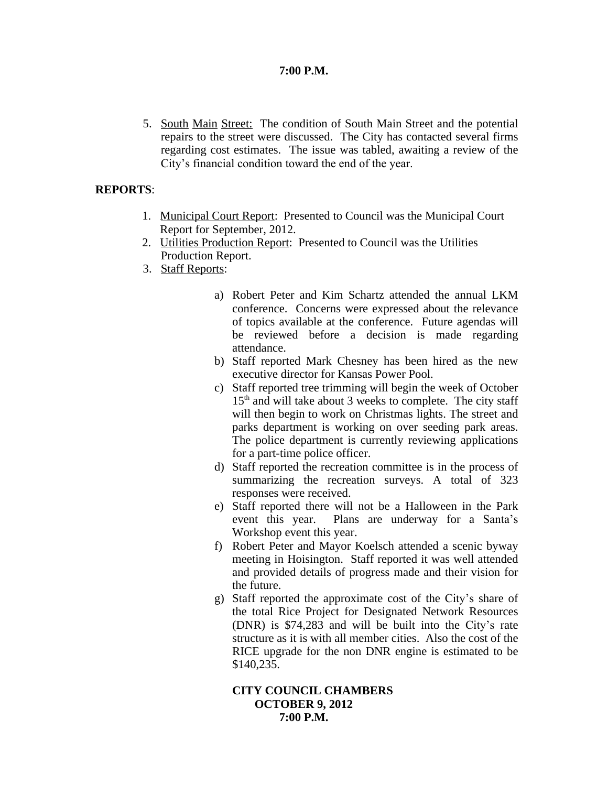# **7:00 P.M.**

5. South Main Street: The condition of South Main Street and the potential repairs to the street were discussed. The City has contacted several firms regarding cost estimates. The issue was tabled, awaiting a review of the City's financial condition toward the end of the year.

# **REPORTS**:

- 1. Municipal Court Report: Presented to Council was the Municipal Court Report for September, 2012.
- 2. Utilities Production Report: Presented to Council was the Utilities Production Report.
- 3. Staff Reports:
	- a) Robert Peter and Kim Schartz attended the annual LKM conference. Concerns were expressed about the relevance of topics available at the conference. Future agendas will be reviewed before a decision is made regarding attendance.
	- b) Staff reported Mark Chesney has been hired as the new executive director for Kansas Power Pool.
	- c) Staff reported tree trimming will begin the week of October  $15<sup>th</sup>$  and will take about 3 weeks to complete. The city staff will then begin to work on Christmas lights. The street and parks department is working on over seeding park areas. The police department is currently reviewing applications for a part-time police officer.
	- d) Staff reported the recreation committee is in the process of summarizing the recreation surveys. A total of 323 responses were received.
	- e) Staff reported there will not be a Halloween in the Park event this year. Plans are underway for a Santa's Workshop event this year.
	- f) Robert Peter and Mayor Koelsch attended a scenic byway meeting in Hoisington. Staff reported it was well attended and provided details of progress made and their vision for the future.
	- g) Staff reported the approximate cost of the City's share of the total Rice Project for Designated Network Resources (DNR) is \$74,283 and will be built into the City's rate structure as it is with all member cities. Also the cost of the RICE upgrade for the non DNR engine is estimated to be \$140,235.

## **CITY COUNCIL CHAMBERS OCTOBER 9, 2012 7:00 P.M.**